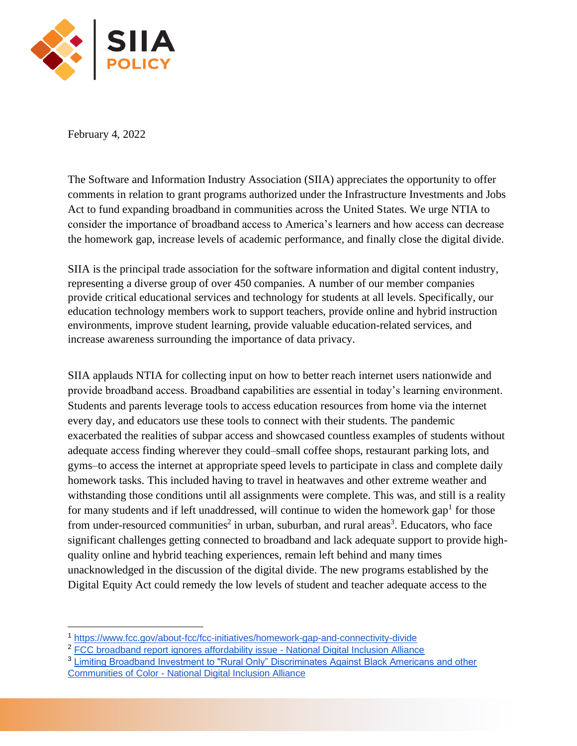

February 4, 2022

The Software and Information Industry Association (SIIA) appreciates the opportunity to offer comments in relation to grant programs authorized under the Infrastructure Investments and Jobs Act to fund expanding broadband in communities across the United States. We urge NTIA to consider the importance of broadband access to America's learners and how access can decrease the homework gap, increase levels of academic performance, and finally close the digital divide.

SIIA is the principal trade association for the software information and digital content industry, representing a diverse group of over 450 companies. A number of our member companies provide critical educational services and technology for students at all levels. Specifically, our education technology members work to support teachers, provide online and hybrid instruction environments, improve student learning, provide valuable education-related services, and increase awareness surrounding the importance of data privacy.

SIIA applauds NTIA for collecting input on how to better reach internet users nationwide and provide broadband access. Broadband capabilities are essential in today's learning environment. Students and parents leverage tools to access education resources from home via the internet every day, and educators use these tools to connect with their students. The pandemic exacerbated the realities of subpar access and showcased countless examples of students without adequate access finding wherever they could–small coffee shops, restaurant parking lots, and gyms–to access the internet at appropriate speed levels to participate in class and complete daily homework tasks. This included having to travel in heatwaves and other extreme weather and withstanding those conditions until all assignments were complete. This was, and still is a reality for many students and if left unaddressed, will continue to widen the homework gap<sup>1</sup> for those from under-resourced communities<sup>2</sup> in urban, suburban, and rural areas<sup>3</sup>. Educators, who face significant challenges getting connected to broadband and lack adequate support to provide highquality online and hybrid teaching experiences, remain left behind and many times unacknowledged in the discussion of the digital divide. The new programs established by the Digital Equity Act could remedy the low levels of student and teacher adequate access to the

<sup>1</sup> <https://www.fcc.gov/about-fcc/fcc-initiatives/homework-gap-and-connectivity-divide>

<sup>&</sup>lt;sup>2</sup> [FCC broadband report ignores affordability issue -](https://www.digitalinclusion.org/blog/2019/05/30/fcc-broadband-report-ignores-affordability-issue/) National Digital Inclusion Alliance

<sup>3</sup> [Limiting Broadband Investment to "Rural Only" Discriminates Against Black Americans and other](https://www.digitalinclusion.org/digital-divide-and-systemic-racism/)  Communities of Color - [National Digital Inclusion Alliance](https://www.digitalinclusion.org/digital-divide-and-systemic-racism/)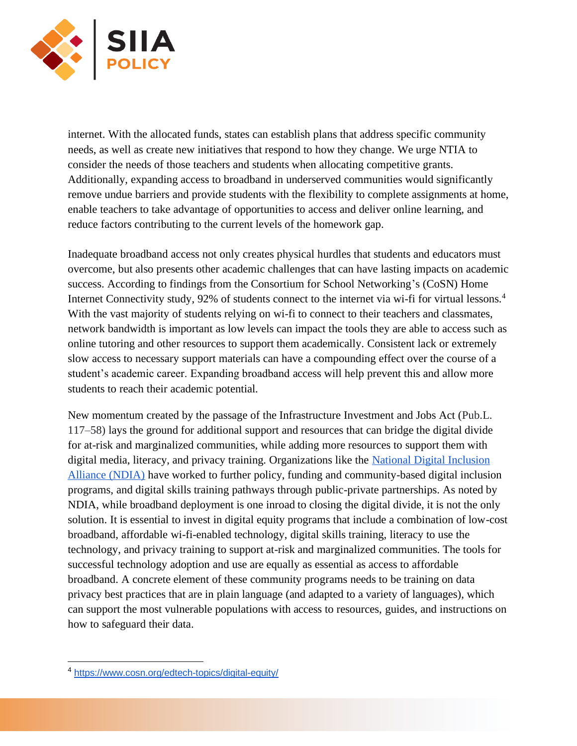

internet. With the allocated funds, states can establish plans that address specific community needs, as well as create new initiatives that respond to how they change. We urge NTIA to consider the needs of those teachers and students when allocating competitive grants. Additionally, expanding access to broadband in underserved communities would significantly remove undue barriers and provide students with the flexibility to complete assignments at home, enable teachers to take advantage of opportunities to access and deliver online learning, and reduce factors contributing to the current levels of the homework gap.

Inadequate broadband access not only creates physical hurdles that students and educators must overcome, but also presents other academic challenges that can have lasting impacts on academic success. According to findings from the Consortium for School Networking's (CoSN) Home Internet Connectivity study, 92% of students connect to the internet via wi-fi for virtual lessons.<sup>4</sup> With the vast majority of students relying on wi-fi to connect to their teachers and classmates, network bandwidth is important as low levels can impact the tools they are able to access such as online tutoring and other resources to support them academically. Consistent lack or extremely slow access to necessary support materials can have a compounding effect over the course of a student's academic career. Expanding broadband access will help prevent this and allow more students to reach their academic potential.

New momentum created by the passage of the Infrastructure Investment and Jobs Act (Pub.L. 117–58) lays the ground for additional support and resources that can bridge the digital divide for at-risk and marginalized communities, while adding more resources to support them with digital media, literacy, and privacy training. Organizations like th[e](https://www.digitalinclusion.org/policy/) [National Digital Inclusion](https://www.digitalinclusion.org/policy/)  [Alliance \(NDIA\)](https://www.digitalinclusion.org/policy/) have worked to further policy, funding and community-based digital inclusion programs, and digital skills training pathways through public-private partnerships. As noted by NDIA, while broadband deployment is one inroad to closing the digital divide, it is not the only solution. It is essential to invest in digital equity programs that include a combination of low-cost broadband, affordable wi-fi-enabled technology, digital skills training, literacy to use the technology, and privacy training to support at-risk and marginalized communities. The tools for successful technology adoption and use are equally as essential as access to affordable broadband. A concrete element of these community programs needs to be training on data privacy best practices that are in plain language (and adapted to a variety of languages), which can support the most vulnerable populations with access to resources, guides, and instructions on how to safeguard their data.

<sup>4</sup> <https://www.cosn.org/edtech-topics/digital-equity/>